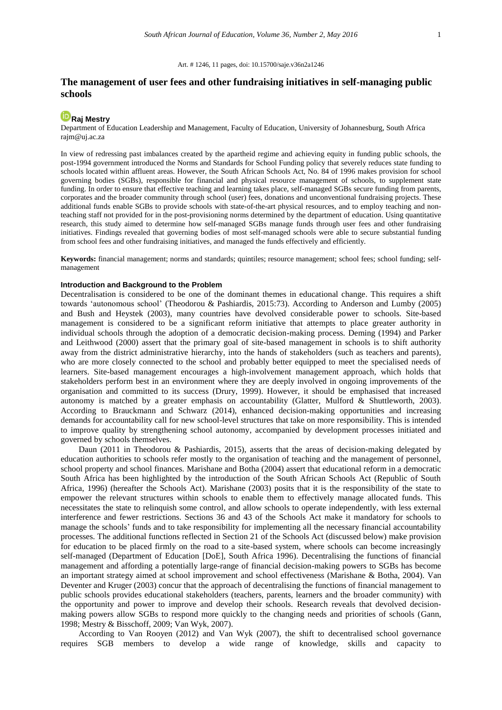#### Art. # 1246, 11 pages, doi: 10.15700/saje.v36n2a1246

# **The management of user fees and other fundraising initiatives in self-managing public schools**

# **ID** [Raj Mestry](http://orcid.org/0000-0002-1976-4866)

Department of Education Leadership and Management, Faculty of Education, University of Johannesburg, South Africa rajm@uj.ac.za

In view of redressing past imbalances created by the apartheid regime and achieving equity in funding public schools, the post-1994 government introduced the Norms and Standards for School Funding policy that severely reduces state funding to schools located within affluent areas. However, the South African Schools Act, No. 84 of 1996 makes provision for school governing bodies (SGBs), responsible for financial and physical resource management of schools, to supplement state funding. In order to ensure that effective teaching and learning takes place, self-managed SGBs secure funding from parents, corporates and the broader community through school (user) fees, donations and unconventional fundraising projects. These additional funds enable SGBs to provide schools with state-of-the-art physical resources, and to employ teaching and nonteaching staff not provided for in the post-provisioning norms determined by the department of education. Using quantitative research, this study aimed to determine how self-managed SGBs manage funds through user fees and other fundraising initiatives. Findings revealed that governing bodies of most self-managed schools were able to secure substantial funding from school fees and other fundraising initiatives, and managed the funds effectively and efficiently.

**Keywords:** financial management; norms and standards; quintiles; resource management; school fees; school funding; selfmanagement

## **Introduction and Background to the Problem**

Decentralisation is considered to be one of the dominant themes in educational change. This requires a shift towards 'autonomous school' (Theodorou & Pashiardis, 2015:73). According to Anderson and Lumby (2005) and Bush and Heystek (2003), many countries have devolved considerable power to schools. Site-based management is considered to be a significant reform initiative that attempts to place greater authority in individual schools through the adoption of a democratic decision-making process. Deming (1994) and Parker and Leithwood (2000) assert that the primary goal of site-based management in schools is to shift authority away from the district administrative hierarchy, into the hands of stakeholders (such as teachers and parents), who are more closely connected to the school and probably better equipped to meet the specialised needs of learners. Site-based management encourages a high-involvement management approach, which holds that stakeholders perform best in an environment where they are deeply involved in ongoing improvements of the organisation and committed to its success (Drury, 1999). However, it should be emphasised that increased autonomy is matched by a greater emphasis on accountability (Glatter, Mulford & Shuttleworth, 2003). According to Brauckmann and Schwarz (2014), enhanced decision-making opportunities and increasing demands for accountability call for new school-level structures that take on more responsibility. This is intended to improve quality by strengthening school autonomy, accompanied by development processes initiated and governed by schools themselves.

Daun (2011 in Theodorou & Pashiardis, 2015), asserts that the areas of decision-making delegated by education authorities to schools refer mostly to the organisation of teaching and the management of personnel, school property and school finances. Marishane and Botha (2004) assert that educational reform in a democratic South Africa has been highlighted by the introduction of the South African Schools Act (Republic of South Africa, 1996) (hereafter the Schools Act). Marishane (2003) posits that it is the responsibility of the state to empower the relevant structures within schools to enable them to effectively manage allocated funds. This necessitates the state to relinquish some control, and allow schools to operate independently, with less external interference and fewer restrictions. Sections 36 and 43 of the Schools Act make it mandatory for schools to manage the schools' funds and to take responsibility for implementing all the necessary financial accountability processes. The additional functions reflected in Section 21 of the Schools Act (discussed below) make provision for education to be placed firmly on the road to a site-based system, where schools can become increasingly self-managed (Department of Education [DoE], South Africa 1996). Decentralising the functions of financial management and affording a potentially large-range of financial decision-making powers to SGBs has become an important strategy aimed at school improvement and school effectiveness (Marishane & Botha, 2004). Van Deventer and Kruger (2003) concur that the approach of decentralising the functions of financial management to public schools provides educational stakeholders (teachers, parents, learners and the broader community) with the opportunity and power to improve and develop their schools. Research reveals that devolved decisionmaking powers allow SGBs to respond more quickly to the changing needs and priorities of schools (Gann, 1998; Mestry & Bisschoff, 2009; Van Wyk, 2007).

According to Van Rooyen (2012) and Van Wyk (2007), the shift to decentralised school governance requires SGB members to develop a wide range of knowledge, skills and capacity to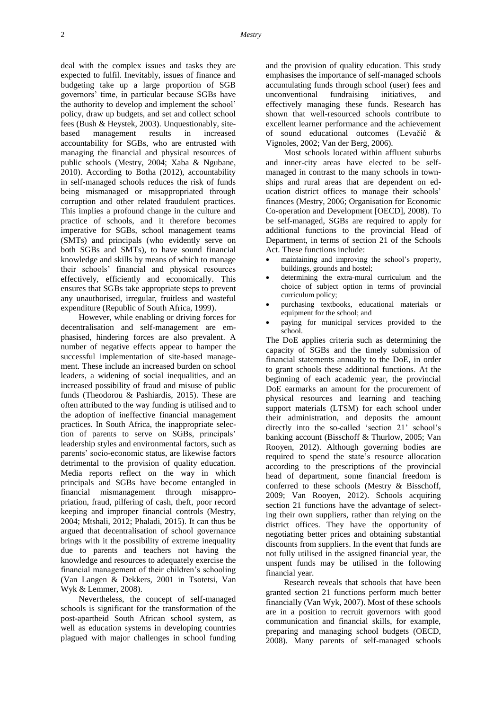deal with the complex issues and tasks they are expected to fulfil. Inevitably, issues of finance and budgeting take up a large proportion of SGB governors' time, in particular because SGBs have the authority to develop and implement the school' policy, draw up budgets, and set and collect school fees (Bush & Heystek, 2003). Unquestionably, sitebased management results in increased accountability for SGBs, who are entrusted with managing the financial and physical resources of public schools (Mestry, 2004; Xaba & Ngubane, 2010). According to Botha (2012), accountability in self-managed schools reduces the risk of funds being mismanaged or misappropriated through corruption and other related fraudulent practices. This implies a profound change in the culture and practice of schools, and it therefore becomes imperative for SGBs, school management teams (SMTs) and principals (who evidently serve on both SGBs and SMTs), to have sound financial knowledge and skills by means of which to manage their schools' financial and physical resources effectively, efficiently and economically. This ensures that SGBs take appropriate steps to prevent any unauthorised, irregular, fruitless and wasteful expenditure (Republic of South Africa, 1999).

However, while enabling or driving forces for decentralisation and self-management are emphasised, hindering forces are also prevalent. A number of negative effects appear to hamper the successful implementation of site-based management. These include an increased burden on school leaders, a widening of social inequalities, and an increased possibility of fraud and misuse of public funds (Theodorou & Pashiardis, 2015). These are often attributed to the way funding is utilised and to the adoption of ineffective financial management practices. In South Africa, the inappropriate selection of parents to serve on SGBs, principals' leadership styles and environmental factors, such as parents' socio-economic status, are likewise factors detrimental to the provision of quality education. Media reports reflect on the way in which principals and SGBs have become entangled in financial mismanagement through misappropriation, fraud, pilfering of cash, theft, poor record keeping and improper financial controls (Mestry, 2004; Mtshali, 2012; Phaladi, 2015). It can thus be argued that decentralisation of school governance brings with it the possibility of extreme inequality due to parents and teachers not having the knowledge and resources to adequately exercise the financial management of their children's schooling (Van Langen & Dekkers, 2001 in Tsotetsi, Van Wyk & Lemmer, 2008).

Nevertheless, the concept of self-managed schools is significant for the transformation of the post-apartheid South African school system, as well as education systems in developing countries plagued with major challenges in school funding and the provision of quality education. This study emphasises the importance of self-managed schools accumulating funds through school (user) fees and unconventional fundraising initiatives, and effectively managing these funds. Research has shown that well-resourced schools contribute to excellent learner performance and the achievement of sound educational outcomes (Levačić & Vignoles, 2002; Van der Berg, 2006).

Most schools located within affluent suburbs and inner-city areas have elected to be selfmanaged in contrast to the many schools in townships and rural areas that are dependent on education district offices to manage their schools' finances (Mestry, 2006; Organisation for Economic Co-operation and Development [OECD], 2008). To be self-managed, SGBs are required to apply for additional functions to the provincial Head of Department, in terms of section 21 of the Schools Act. These functions include:

- maintaining and improving the school's property, buildings, grounds and hostel;
- determining the extra-mural curriculum and the choice of subject option in terms of provincial curriculum policy;
- purchasing textbooks, educational materials or equipment for the school; and
- paying for municipal services provided to the school.

The DoE applies criteria such as determining the capacity of SGBs and the timely submission of financial statements annually to the DoE, in order to grant schools these additional functions. At the beginning of each academic year, the provincial DoE earmarks an amount for the procurement of physical resources and learning and teaching support materials (LTSM) for each school under their administration, and deposits the amount directly into the so-called 'section 21' school's banking account (Bisschoff & Thurlow, 2005; Van Rooyen, 2012). Although governing bodies are required to spend the state's resource allocation according to the prescriptions of the provincial head of department, some financial freedom is conferred to these schools (Mestry & Bisschoff, 2009; Van Rooyen, 2012). Schools acquiring section 21 functions have the advantage of selecting their own suppliers, rather than relying on the district offices. They have the opportunity of negotiating better prices and obtaining substantial discounts from suppliers. In the event that funds are not fully utilised in the assigned financial year, the unspent funds may be utilised in the following financial year.

Research reveals that schools that have been granted section 21 functions perform much better financially (Van Wyk, 2007). Most of these schools are in a position to recruit governors with good communication and financial skills, for example, preparing and managing school budgets (OECD, 2008). Many parents of self-managed schools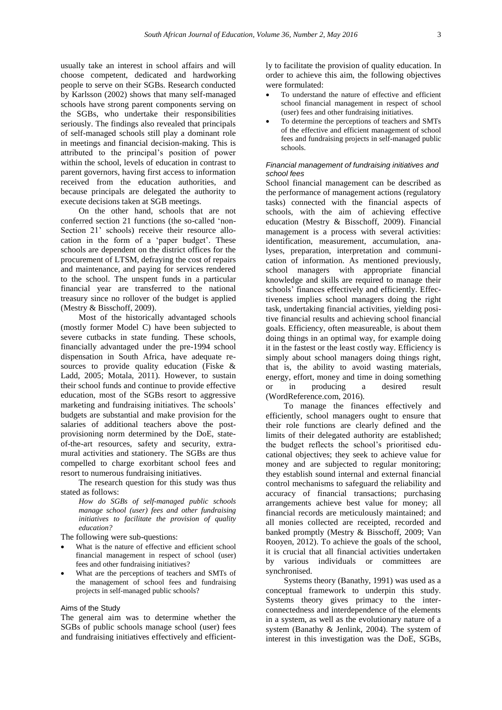usually take an interest in school affairs and will choose competent, dedicated and hardworking people to serve on their SGBs. Research conducted by Karlsson (2002) shows that many self-managed schools have strong parent components serving on the SGBs, who undertake their responsibilities seriously. The findings also revealed that principals of self-managed schools still play a dominant role in meetings and financial decision-making. This is attributed to the principal's position of power within the school, levels of education in contrast to parent governors, having first access to information received from the education authorities, and because principals are delegated the authority to execute decisions taken at SGB meetings.

On the other hand, schools that are not conferred section 21 functions (the so-called 'non-Section 21' schools) receive their resource allocation in the form of a 'paper budget'. These schools are dependent on the district offices for the procurement of LTSM, defraying the cost of repairs and maintenance, and paying for services rendered to the school. The unspent funds in a particular financial year are transferred to the national treasury since no rollover of the budget is applied (Mestry & Bisschoff, 2009).

Most of the historically advantaged schools (mostly former Model C) have been subjected to severe cutbacks in state funding. These schools, financially advantaged under the pre-1994 school dispensation in South Africa, have adequate resources to provide quality education (Fiske & Ladd, 2005; Motala, 2011). However, to sustain their school funds and continue to provide effective education, most of the SGBs resort to aggressive marketing and fundraising initiatives. The schools' budgets are substantial and make provision for the salaries of additional teachers above the postprovisioning norm determined by the DoE, stateof-the-art resources, safety and security, extramural activities and stationery. The SGBs are thus compelled to charge exorbitant school fees and resort to numerous fundraising initiatives.

The research question for this study was thus stated as follows:

> *How do SGBs of self-managed public schools manage school (user) fees and other fundraising initiatives to facilitate the provision of quality education?*

The following were sub-questions:

- What is the nature of effective and efficient school financial management in respect of school (user) fees and other fundraising initiatives?
- What are the perceptions of teachers and SMTs of the management of school fees and fundraising projects in self-managed public schools?

### Aims of the Study

The general aim was to determine whether the SGBs of public schools manage school (user) fees and fundraising initiatives effectively and efficiently to facilitate the provision of quality education. In order to achieve this aim, the following objectives were formulated:

- To understand the nature of effective and efficient school financial management in respect of school (user) fees and other fundraising initiatives.
- To determine the perceptions of teachers and SMTs of the effective and efficient management of school fees and fundraising projects in self-managed public schools.

### *Financial management of fundraising initiatives and school fees*

School financial management can be described as the performance of management actions (regulatory tasks) connected with the financial aspects of schools, with the aim of achieving effective education (Mestry & Bisschoff, 2009). Financial management is a process with several activities: identification, measurement, accumulation, analyses, preparation, interpretation and communication of information. As mentioned previously, school managers with appropriate financial knowledge and skills are required to manage their schools' finances effectively and efficiently. Effectiveness implies school managers doing the right task, undertaking financial activities, yielding positive financial results and achieving school financial goals. Efficiency, often measureable, is about them doing things in an optimal way, for example doing it in the fastest or the least costly way. Efficiency is simply about school managers doing things right, that is, the ability to avoid wasting materials, energy, effort, money and time in doing something or in producing a desired result (WordReference.com, 2016).

To manage the finances effectively and efficiently, school managers ought to ensure that their role functions are clearly defined and the limits of their delegated authority are established; the budget reflects the school's prioritised educational objectives; they seek to achieve value for money and are subjected to regular monitoring; they establish sound internal and external financial control mechanisms to safeguard the reliability and accuracy of financial transactions; purchasing arrangements achieve best value for money; all financial records are meticulously maintained; and all monies collected are receipted, recorded and banked promptly (Mestry & Bisschoff, 2009; Van Rooyen, 2012). To achieve the goals of the school, it is crucial that all financial activities undertaken by various individuals or committees are synchronised.

Systems theory (Banathy, 1991) was used as a conceptual framework to underpin this study. Systems theory gives primacy to the interconnectedness and interdependence of the elements in a system, as well as the evolutionary nature of a system (Banathy & Jenlink, 2004). The system of interest in this investigation was the DoE, SGBs,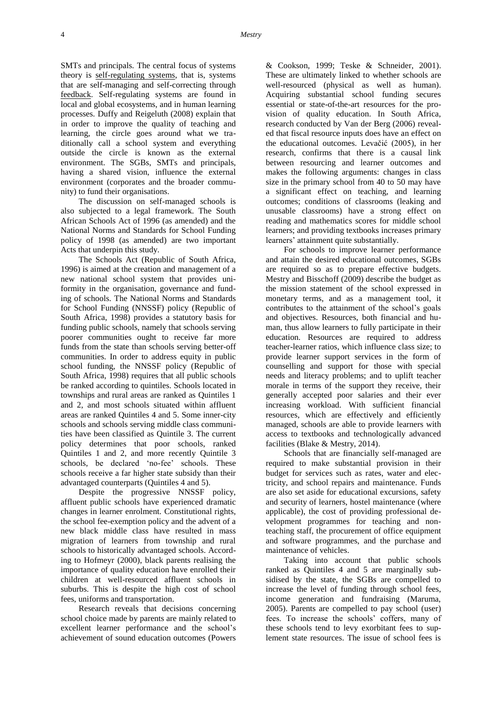SMTs and principals. The central focus of systems theory is [self-regulating systems,](https://en.wikipedia.org/wiki/Homeostasis) that is, systems that are self-managing and self-correcting through [feedback.](https://en.wikipedia.org/wiki/Feedback) Self-regulating systems are found in local and global ecosystems, and in human learning processes. Duffy and Reigeluth (2008) explain that in order to improve the quality of teaching and learning, the circle goes around what we traditionally call a school system and everything outside the circle is known as the external environment. The SGBs, SMTs and principals, having a shared vision, influence the external environment (corporates and the broader community) to fund their organisations.

The discussion on self-managed schools is also subjected to a legal framework. The South African Schools Act of 1996 (as amended) and the National Norms and Standards for School Funding policy of 1998 (as amended) are two important Acts that underpin this study.

The Schools Act (Republic of South Africa, 1996) is aimed at the creation and management of a new national school system that provides uniformity in the organisation, governance and funding of schools. The National Norms and Standards for School Funding (NNSSF) policy (Republic of South Africa, 1998) provides a statutory basis for funding public schools, namely that schools serving poorer communities ought to receive far more funds from the state than schools serving better-off communities. In order to address equity in public school funding, the NNSSF policy (Republic of South Africa, 1998) requires that all public schools be ranked according to quintiles. Schools located in townships and rural areas are ranked as Quintiles 1 and 2, and most schools situated within affluent areas are ranked Quintiles 4 and 5. Some inner-city schools and schools serving middle class communities have been classified as Quintile 3. The current policy determines that poor schools, ranked Quintiles 1 and 2, and more recently Quintile 3 schools, be declared 'no-fee' schools. These schools receive a far higher state subsidy than their advantaged counterparts (Quintiles 4 and 5).

Despite the progressive NNSSF policy, affluent public schools have experienced dramatic changes in learner enrolment. Constitutional rights, the school fee-exemption policy and the advent of a new black middle class have resulted in mass migration of learners from township and rural schools to historically advantaged schools. According to Hofmeyr (2000), black parents realising the importance of quality education have enrolled their children at well-resourced affluent schools in suburbs. This is despite the high cost of school fees, uniforms and transportation.

Research reveals that decisions concerning school choice made by parents are mainly related to excellent learner performance and the school's achievement of sound education outcomes (Powers

& Cookson, 1999; Teske & Schneider, 2001). These are ultimately linked to whether schools are well-resourced (physical as well as human). Acquiring substantial school funding secures essential or state-of-the-art resources for the provision of quality education. In South Africa, research conducted by Van der Berg (2006) revealed that fiscal resource inputs does have an effect on the educational outcomes. Levačić (2005), in her research, confirms that there is a causal link between resourcing and learner outcomes and makes the following arguments: changes in class size in the primary school from 40 to 50 may have a significant effect on teaching, and learning outcomes; conditions of classrooms (leaking and unusable classrooms) have a strong effect on reading and mathematics scores for middle school learners; and providing textbooks increases primary learners' attainment quite substantially.

For schools to improve learner performance and attain the desired educational outcomes, SGBs are required so as to prepare effective budgets. Mestry and Bisschoff (2009) describe the budget as the mission statement of the school expressed in monetary terms, and as a management tool, it contributes to the attainment of the school's goals and objectives. Resources, both financial and human, thus allow learners to fully participate in their education. Resources are required to address teacher-learner ratios, which influence class size; to provide learner support services in the form of counselling and support for those with special needs and literacy problems; and to uplift teacher morale in terms of the support they receive, their generally accepted poor salaries and their ever increasing workload. With sufficient financial resources, which are effectively and efficiently managed, schools are able to provide learners with access to textbooks and technologically advanced facilities (Blake & Mestry, 2014).

Schools that are financially self-managed are required to make substantial provision in their budget for services such as rates, water and electricity, and school repairs and maintenance. Funds are also set aside for educational excursions, safety and security of learners, hostel maintenance (where applicable), the cost of providing professional development programmes for teaching and nonteaching staff, the procurement of office equipment and software programmes, and the purchase and maintenance of vehicles.

Taking into account that public schools ranked as Quintiles 4 and 5 are marginally subsidised by the state, the SGBs are compelled to increase the level of funding through school fees, income generation and fundraising (Maruma, 2005). Parents are compelled to pay school (user) fees. To increase the schools' coffers, many of these schools tend to levy exorbitant fees to suplement state resources. The issue of school fees is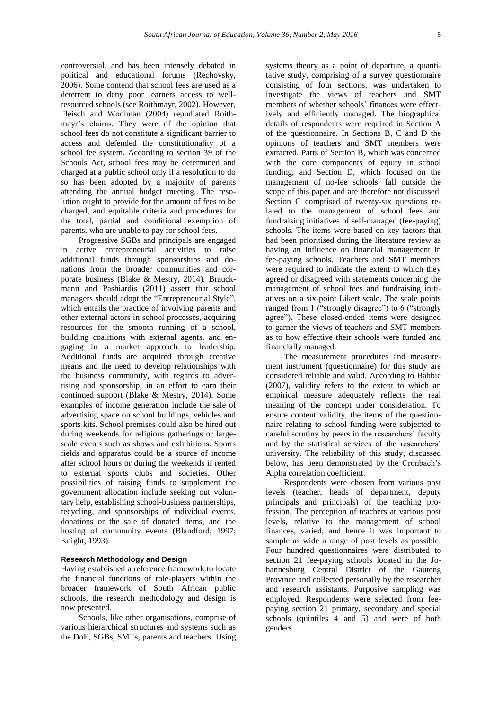controversial, and has been intensely debated in political and educational forums (Rechovsky, 2006). Some contend that school fees are used as a deterrent to deny poor learners access to wellresourced schools (see Roithmayr, 2002). However, Fleisch and Woolman (2004) repudiated Roithmayr's claims. They were of the opinion that school fees do not constitute a significant barrier to access and defended the constitutionality of a school fee system. According to section 39 of the Schools Act, school fees may be determined and charged at a public school only if a resolution to do so has been adopted by a majority of parents attending the annual budget meeting. The resolution ought to provide for the amount of fees to be charged, and equitable criteria and procedures for the total, partial and conditional exemption of parents, who are unable to pay for school fees.

Progressive SGBs and principals are engaged in active entrepreneurial activities to raise additional funds through sponsorships and donations from the broader communities and corporate business (Blake & Mestry, 2014). Brauckmann and Pashiardis (2011) assert that school managers should adopt the "Entrepreneurial Style", which entails the practice of involving parents and other external actors in school processes, acquiring resources for the smooth running of a school, building coalitions with external agents, and engaging in a market approach to leadership. Additional funds are acquired through creative means and the need to develop relationships with the business community, with regards to advertising and sponsorship, in an effort to earn their continued support (Blake & Mestry, 2014). Some examples of income generation include the sale of advertising space on school buildings, vehicles and sports kits. School premises could also be hired out during weekends for religious gatherings or largescale events such as shows and exhibitions. Sports fields and apparatus could be a source of income after school hours or during the weekends if rented to external sports clubs and societies. Other possibilities of raising funds to supplement the government allocation include seeking out voluntary help, establishing school-business partnerships, recycling, and sponsorships of individual events, donations or the sale of donated items, and the hosting of community events (Blandford, 1997; Knight, 1993).

## **Research Methodology and Design**

Having established a reference framework to locate the financial functions of role-players within the broader framework of South African public schools, the research methodology and design is now presented.

Schools, like other organisations, comprise of various hierarchical structures and systems such as the DoE, SGBs, SMTs, parents and teachers. Using

systems theory as a point of departure, a quantitative study, comprising of a survey questionnaire consisting of four sections, was undertaken to investigate the views of teachers and SMT members of whether schools' finances were effectively and efficiently managed. The biographical details of respondents were required in Section A of the questionnaire. In Sections B, C and D the opinions of teachers and SMT members were extracted. Parts of Section B, which was concerned with the core components of equity in school funding, and Section D, which focused on the management of no-fee schools, fall outside the scope of this paper and are therefore not discussed. Section C comprised of twenty-six questions related to the management of school fees and fundraising initiatives of self-managed (fee-paying) schools. The items were based on key factors that had been prioritised during the literature review as having an influence on financial management in fee-paying schools. Teachers and SMT members were required to indicate the extent to which they agreed or disagreed with statements concerning the management of school fees and fundraising initiatives on a six-point Likert scale. The scale points ranged from 1 ("strongly disagree") to 6 ("strongly agree"). These closed-ended items were designed to garner the views of teachers and SMT members as to how effective their schools were funded and financially managed.

The measurement procedures and measurement instrument (questionnaire) for this study are considered reliable and valid. According to Babbie (2007), validity refers to the extent to which an empirical measure adequately reflects the real meaning of the concept under consideration. To ensure content validity, the items of the questionnaire relating to school funding were subjected to careful scrutiny by peers in the researchers' faculty and by the statistical services of the researchers' university. The reliability of this study, discussed below, has been demonstrated by the Cronbach's Alpha correlation coefficient.

Respondents were chosen from various post levels (teacher, heads of department, deputy principals and principals) of the teaching profession. The perception of teachers at various post levels, relative to the management of school finances, varied, and hence it was important to sample as wide a range of post levels as possible. Four hundred questionnaires were distributed to section 21 fee-paying schools located in the Johannesburg Central District of the Gauteng Province and collected personally by the researcher and research assistants. Purposive sampling was employed. Respondents were selected from feepaying section 21 primary, secondary and special schools (quintiles 4 and 5) and were of both genders.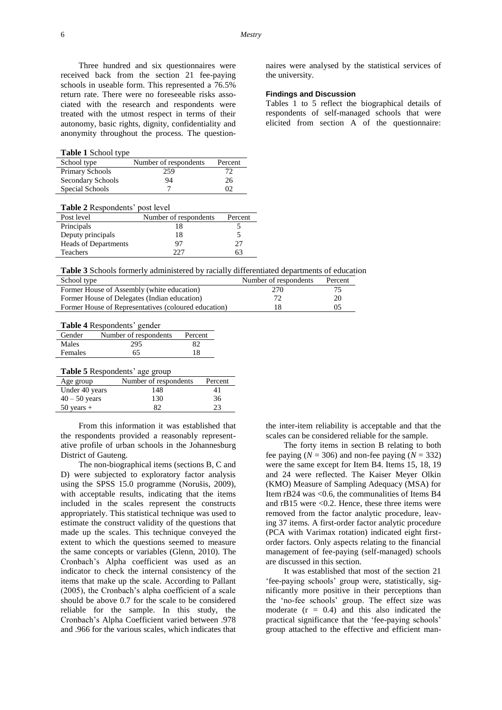Three hundred and six questionnaires were received back from the section 21 fee-paying schools in useable form. This represented a 76.5% return rate. There were no foreseeable risks associated with the research and respondents were treated with the utmost respect in terms of their autonomy, basic rights, dignity, confidentiality and anonymity throughout the process. The question-

**Table 1** School type

| School type       | Number of respondents | Percent |
|-------------------|-----------------------|---------|
| Primary Schools   | 259                   |         |
| Secondary Schools | 94                    | 26      |
| Special Schools   |                       | റാ      |

|  | Table 2 Respondents' post level |  |  |
|--|---------------------------------|--|--|
|--|---------------------------------|--|--|

| Post level           | Number of respondents | Percent |
|----------------------|-----------------------|---------|
| Principals           | 18                    |         |
| Deputy principals    | 18                    |         |
| Heads of Departments | 97                    | 27      |
| Teachers             | 225                   | 63      |

naires were analysed by the statistical services of the university.

### **Findings and Discussion**

Tables 1 to 5 reflect the biographical details of respondents of self-managed schools that were elicited from section A of the questionnaire:

**Table 3** Schools formerly administered by racially differentiated departments of education

| School type                                          | Number of respondents | Percent |
|------------------------------------------------------|-----------------------|---------|
| Former House of Assembly (white education)           | 270                   | 75      |
| Former House of Delegates (Indian education)         | 72                    | 20      |
| Former House of Representatives (coloured education) |                       | 0.5     |

**Table 4** Respondents' gender

| Gender         | Number of respondents | Percent |
|----------------|-----------------------|---------|
| Males          | 295                   | 82      |
| <b>Females</b> | 65                    | 18      |
|                |                       |         |

**Table 5** Respondents' age group

| Age group       | Number of respondents | Percent |
|-----------------|-----------------------|---------|
| Under 40 years  | 148                   | 41      |
| $40 - 50$ years | 130                   | 36      |
| $50$ years $+$  | 82                    | 23      |

From this information it was established that the respondents provided a reasonably representative profile of urban schools in the Johannesburg District of Gauteng.

The non-biographical items (sections B, C and D) were subjected to exploratory factor analysis using the SPSS 15.0 programme (Norušis, 2009), with acceptable results, indicating that the items included in the scales represent the constructs appropriately. This statistical technique was used to estimate the construct validity of the questions that made up the scales. This technique conveyed the extent to which the questions seemed to measure the same concepts or variables (Glenn, 2010). The Cronbach's Alpha coefficient was used as an indicator to check the internal consistency of the items that make up the scale. According to Pallant (2005), the Cronbach's alpha coefficient of a scale should be above 0.7 for the scale to be considered reliable for the sample. In this study, the Cronbach's Alpha Coefficient varied between .978 and .966 for the various scales, which indicates that

the inter-item reliability is acceptable and that the scales can be considered reliable for the sample.

The forty items in section B relating to both fee paying  $(N = 306)$  and non-fee paying  $(N = 332)$ were the same except for Item B4. Items 15, 18, 19 and 24 were reflected. The Kaiser Meyer Olkin (KMO) Measure of Sampling Adequacy (MSA) for Item rB24 was <0.6, the communalities of Items B4 and  $rB15$  were <0.2. Hence, these three items were removed from the factor analytic procedure, leaving 37 items. A first-order factor analytic procedure (PCA with Varimax rotation) indicated eight firstorder factors. Only aspects relating to the financial management of fee-paying (self-managed) schools are discussed in this section.

It was established that most of the section 21 'fee-paying schools' group were, statistically, significantly more positive in their perceptions than the 'no-fee schools' group. The effect size was moderate  $(r = 0.4)$  and this also indicated the practical significance that the 'fee-paying schools' group attached to the effective and efficient man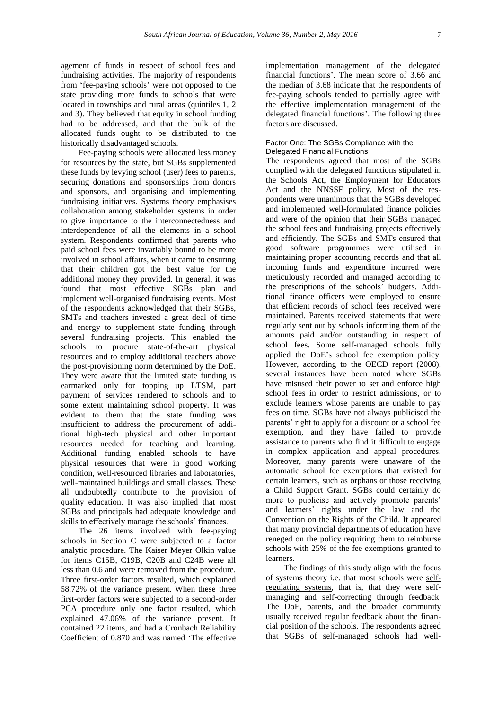agement of funds in respect of school fees and fundraising activities. The majority of respondents from 'fee-paying schools' were not opposed to the state providing more funds to schools that were located in townships and rural areas (quintiles 1, 2 and 3). They believed that equity in school funding had to be addressed, and that the bulk of the allocated funds ought to be distributed to the historically disadvantaged schools.

Fee-paying schools were allocated less money for resources by the state, but SGBs supplemented these funds by levying school (user) fees to parents, securing donations and sponsorships from donors and sponsors, and organising and implementing fundraising initiatives. Systems theory emphasises collaboration among stakeholder systems in order to give importance to the interconnectedness and interdependence of all the elements in a school system. Respondents confirmed that parents who paid school fees were invariably bound to be more involved in school affairs, when it came to ensuring that their children got the best value for the additional money they provided. In general, it was found that most effective SGBs plan and implement well-organised fundraising events. Most of the respondents acknowledged that their SGBs, SMTs and teachers invested a great deal of time and energy to supplement state funding through several fundraising projects. This enabled the schools to procure state-of-the-art physical resources and to employ additional teachers above the post-provisioning norm determined by the DoE. They were aware that the limited state funding is earmarked only for topping up LTSM, part payment of services rendered to schools and to some extent maintaining school property. It was evident to them that the state funding was insufficient to address the procurement of additional high-tech physical and other important resources needed for teaching and learning. Additional funding enabled schools to have physical resources that were in good working condition, well-resourced libraries and laboratories, well-maintained buildings and small classes. These all undoubtedly contribute to the provision of quality education. It was also implied that most SGBs and principals had adequate knowledge and skills to effectively manage the schools' finances.

The 26 items involved with fee-paying schools in Section C were subjected to a factor analytic procedure. The Kaiser Meyer Olkin value for items C15B, C19B, C20B and C24B were all less than 0.6 and were removed from the procedure. Three first-order factors resulted, which explained 58.72% of the variance present. When these three first-order factors were subjected to a second-order PCA procedure only one factor resulted, which explained 47.06% of the variance present. It contained 22 items, and had a Cronbach Reliability Coefficient of 0.870 and was named 'The effective

implementation management of the delegated financial functions'. The mean score of 3.66 and the median of 3.68 indicate that the respondents of fee-paying schools tended to partially agree with the effective implementation management of the delegated financial functions'. The following three factors are discussed.

## Factor One: The SGBs Compliance with the Delegated Financial Functions

The respondents agreed that most of the SGBs complied with the delegated functions stipulated in the Schools Act, the Employment for Educators Act and the NNSSF policy. Most of the respondents were unanimous that the SGBs developed and implemented well-formulated finance policies and were of the opinion that their SGBs managed the school fees and fundraising projects effectively and efficiently. The SGBs and SMTs ensured that good software programmes were utilised in maintaining proper accounting records and that all incoming funds and expenditure incurred were meticulously recorded and managed according to the prescriptions of the schools' budgets. Additional finance officers were employed to ensure that efficient records of school fees received were maintained. Parents received statements that were regularly sent out by schools informing them of the amounts paid and/or outstanding in respect of school fees. Some self-managed schools fully applied the DoE's school fee exemption policy. However, according to the OECD report (2008), several instances have been noted where SGBs have misused their power to set and enforce high school fees in order to restrict admissions, or to exclude learners whose parents are unable to pay fees on time. SGBs have not always publicised the parents' right to apply for a discount or a school fee exemption, and they have failed to provide assistance to parents who find it difficult to engage in complex application and appeal procedures. Moreover, many parents were unaware of the automatic school fee exemptions that existed for certain learners, such as orphans or those receiving a Child Support Grant. SGBs could certainly do more to publicise and actively promote parents' and learners' rights under the law and the Convention on the Rights of the Child. It appeared that many provincial departments of education have reneged on the policy requiring them to reimburse schools with 25% of the fee exemptions granted to learners.

The findings of this study align with the focus of systems theory i.e. that most schools were [self](https://en.wikipedia.org/wiki/Homeostasis)[regulating systems,](https://en.wikipedia.org/wiki/Homeostasis) that is, that they were selfmanaging and self-correcting through [feedback.](https://en.wikipedia.org/wiki/Feedback) The DoE, parents, and the broader community usually received regular feedback about the financial position of the schools. The respondents agreed that SGBs of self-managed schools had well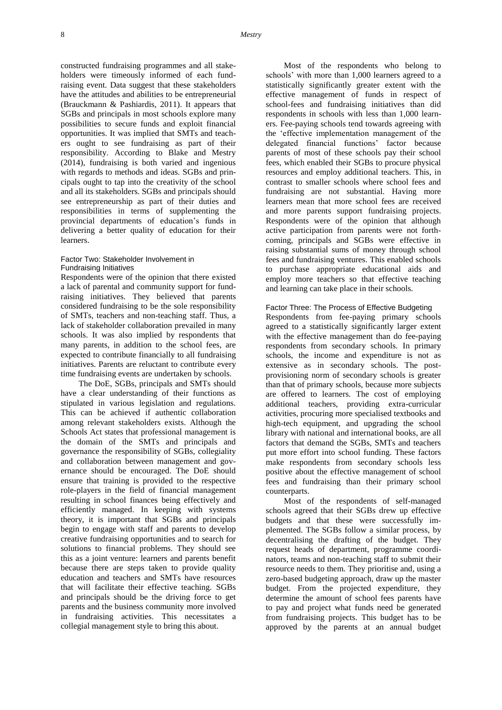constructed fundraising programmes and all stakeholders were timeously informed of each fundraising event. Data suggest that these stakeholders have the attitudes and abilities to be entrepreneurial (Brauckmann & Pashiardis, 2011). It appears that SGBs and principals in most schools explore many possibilities to secure funds and exploit financial opportunities. It was implied that SMTs and teachers ought to see fundraising as part of their responsibility. According to Blake and Mestry (2014), fundraising is both varied and ingenious with regards to methods and ideas. SGBs and principals ought to tap into the creativity of the school and all its stakeholders. SGBs and principals should see entrepreneurship as part of their duties and responsibilities in terms of supplementing the provincial departments of education's funds in delivering a better quality of education for their learners.

## Factor Two: Stakeholder Involvement in Fundraising Initiatives

Respondents were of the opinion that there existed a lack of parental and community support for fundraising initiatives. They believed that parents considered fundraising to be the sole responsibility of SMTs, teachers and non-teaching staff. Thus, a lack of stakeholder collaboration prevailed in many schools. It was also implied by respondents that many parents, in addition to the school fees, are expected to contribute financially to all fundraising initiatives. Parents are reluctant to contribute every time fundraising events are undertaken by schools.

The DoE, SGBs, principals and SMTs should have a clear understanding of their functions as stipulated in various legislation and regulations. This can be achieved if authentic collaboration among relevant stakeholders exists. Although the Schools Act states that professional management is the domain of the SMTs and principals and governance the responsibility of SGBs, collegiality and collaboration between management and governance should be encouraged. The DoE should ensure that training is provided to the respective role-players in the field of financial management resulting in school finances being effectively and efficiently managed. In keeping with systems theory, it is important that SGBs and principals begin to engage with staff and parents to develop creative fundraising opportunities and to search for solutions to financial problems. They should see this as a joint venture: learners and parents benefit because there are steps taken to provide quality education and teachers and SMTs have resources that will facilitate their effective teaching. SGBs and principals should be the driving force to get parents and the business community more involved in fundraising activities. This necessitates a collegial management style to bring this about.

Most of the respondents who belong to schools' with more than 1,000 learners agreed to a statistically significantly greater extent with the effective management of funds in respect of school-fees and fundraising initiatives than did respondents in schools with less than 1,000 learners. Fee-paying schools tend towards agreeing with the 'effective implementation management of the delegated financial functions' factor because parents of most of these schools pay their school fees, which enabled their SGBs to procure physical resources and employ additional teachers. This, in contrast to smaller schools where school fees and fundraising are not substantial. Having more learners mean that more school fees are received and more parents support fundraising projects. Respondents were of the opinion that although active participation from parents were not forthcoming, principals and SGBs were effective in raising substantial sums of money through school fees and fundraising ventures. This enabled schools to purchase appropriate educational aids and employ more teachers so that effective teaching and learning can take place in their schools.

#### Factor Three: The Process of Effective Budgeting

Respondents from fee-paying primary schools agreed to a statistically significantly larger extent with the effective management than do fee-paying respondents from secondary schools. In primary schools, the income and expenditure is not as extensive as in secondary schools. The postprovisioning norm of secondary schools is greater than that of primary schools, because more subjects are offered to learners. The cost of employing additional teachers, providing extra-curricular activities, procuring more specialised textbooks and high-tech equipment, and upgrading the school library with national and international books, are all factors that demand the SGBs, SMTs and teachers put more effort into school funding. These factors make respondents from secondary schools less positive about the effective management of school fees and fundraising than their primary school counterparts.

Most of the respondents of self-managed schools agreed that their SGBs drew up effective budgets and that these were successfully implemented. The SGBs follow a similar process, by decentralising the drafting of the budget. They request heads of department, programme coordinators, teams and non-teaching staff to submit their resource needs to them. They prioritise and, using a zero-based budgeting approach, draw up the master budget. From the projected expenditure, they determine the amount of school fees parents have to pay and project what funds need be generated from fundraising projects. This budget has to be approved by the parents at an annual budget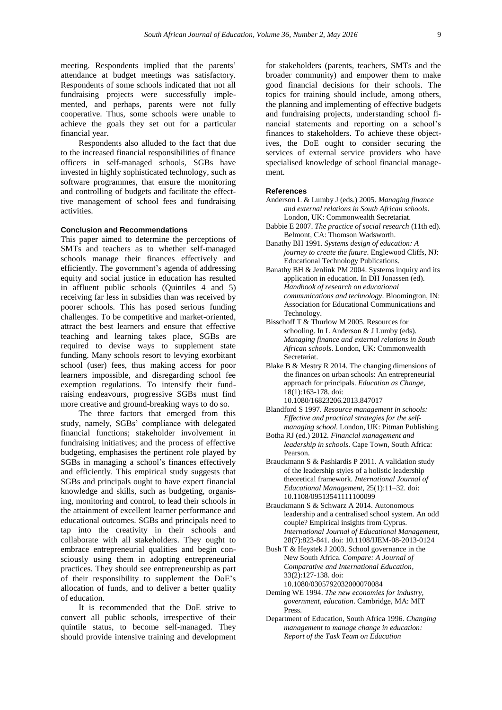meeting. Respondents implied that the parents' attendance at budget meetings was satisfactory. Respondents of some schools indicated that not all fundraising projects were successfully implemented, and perhaps, parents were not fully cooperative. Thus, some schools were unable to achieve the goals they set out for a particular financial year.

Respondents also alluded to the fact that due to the increased financial responsibilities of finance officers in self-managed schools, SGBs have invested in highly sophisticated technology, such as software programmes, that ensure the monitoring and controlling of budgets and facilitate the effecttive management of school fees and fundraising activities.

#### **Conclusion and Recommendations**

This paper aimed to determine the perceptions of SMTs and teachers as to whether self-managed schools manage their finances effectively and efficiently. The government's agenda of addressing equity and social justice in education has resulted in affluent public schools (Quintiles 4 and 5) receiving far less in subsidies than was received by poorer schools. This has posed serious funding challenges. To be competitive and market-oriented, attract the best learners and ensure that effective teaching and learning takes place, SGBs are required to devise ways to supplement state funding. Many schools resort to levying exorbitant school (user) fees, thus making access for poor learners impossible, and disregarding school fee exemption regulations. To intensify their fundraising endeavours, progressive SGBs must find more creative and ground-breaking ways to do so.

The three factors that emerged from this study, namely, SGBs' compliance with delegated financial functions; stakeholder involvement in fundraising initiatives; and the process of effective budgeting, emphasises the pertinent role played by SGBs in managing a school's finances effectively and efficiently. This empirical study suggests that SGBs and principals ought to have expert financial knowledge and skills, such as budgeting, organising, monitoring and control, to lead their schools in the attainment of excellent learner performance and educational outcomes. SGBs and principals need to tap into the creativity in their schools and collaborate with all stakeholders. They ought to embrace entrepreneurial qualities and begin consciously using them in adopting entrepreneurial practices. They should see entrepreneurship as part of their responsibility to supplement the DoE's allocation of funds, and to deliver a better quality of education.

It is recommended that the DoE strive to convert all public schools, irrespective of their quintile status, to become self-managed. They should provide intensive training and development

for stakeholders (parents, teachers, SMTs and the broader community) and empower them to make good financial decisions for their schools. The topics for training should include, among others, the planning and implementing of effective budgets and fundraising projects, understanding school financial statements and reporting on a school's finances to stakeholders. To achieve these objectives, the DoE ought to consider securing the services of external service providers who have specialised knowledge of school financial management.

## **References**

- Anderson L & Lumby J (eds.) 2005. *Managing finance and external relations in South African schools*. London, UK: Commonwealth Secretariat.
- Babbie E 2007. *The practice of social research* (11th ed). Belmont, CA: Thomson Wadsworth.
- Banathy BH 1991. *Systems design of education: A journey to create the future*. Englewood Cliffs, NJ: Educational Technology Publications.
- Banathy BH & Jenlink PM 2004. Systems inquiry and its application in education. In DH Jonassen (ed). *Handbook of research on educational communications and technology*. Bloomington, IN: Association for Educational Communications and Technology.
- Bisschoff T & Thurlow M 2005. Resources for schooling. In L Anderson & J Lumby (eds). *Managing finance and external relations in South African schools*. London, UK: Commonwealth Secretariat.
- Blake B & Mestry R 2014. The changing dimensions of the finances on urban schools: An entrepreneurial approach for principals. *Education as Change*, 18(1):163-178. [doi:](http://www.tandfonline.com/doi/abs/10.1080/16823206.2013.847017)  [10.1080/16823206.2013.847017](http://www.tandfonline.com/doi/abs/10.1080/16823206.2013.847017)
- Blandford S 1997. *Resource management in schools: Effective and practical strategies for the selfmanaging school*. London, UK: Pitman Publishing.
- Botha RJ (ed.) 2012*. Financial management and leadership in schools*. Cape Town, South Africa: Pearson.
- Brauckmann S & Pashiardis P 2011. A validation study of the leadership styles of a holistic leadership theoretical framework. *International Journal of Educational Management*, 25(1):11–32[. doi:](http://dx.doi.org/10.1108/09513541111100099)  [10.1108/09513541111100099](http://dx.doi.org/10.1108/09513541111100099)

Brauckmann S & Schwarz A 2014. Autonomous leadership and a centralised school system. An odd couple? Empirical insights from Cyprus. *International Journal of Educational Management*, 28(7):823-841. [doi: 10.1108/IJEM-08-2013-0124](http://dx.doi.org/10.1108/IJEM-08-2013-0124)

- Bush T & Heystek J 2003. School governance in the New South Africa. *Compare: A Journal of Comparative and International Education*, 33(2):127-138. [doi:](http://www.tandfonline.com/doi/abs/10.1080/0305792032000070084)  [10.1080/0305792032000070084](http://www.tandfonline.com/doi/abs/10.1080/0305792032000070084)
- Deming WE 1994. *The new economies for industry, government, education*. Cambridge, MA: MIT Press.
- Department of Education, South Africa 1996. *Changing management to manage change in education: Report of the Task Team on Education*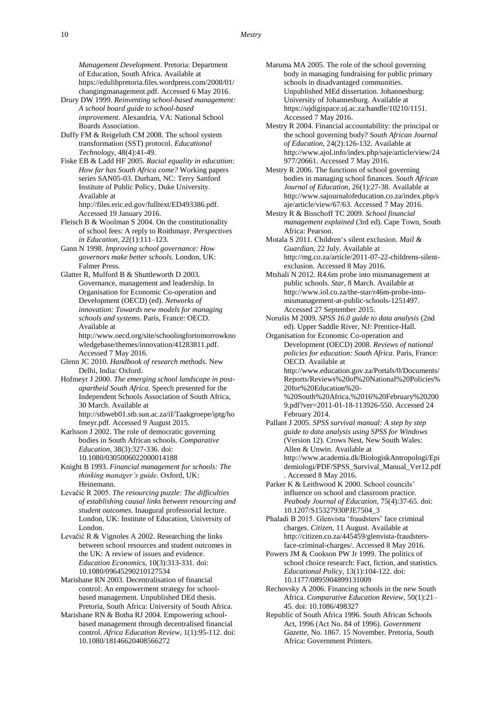*Management Development*. Pretoria: Department of Education, South Africa. Available at [https://edulibpretoria.files.wordpress.com/2008/01/](https://edulibpretoria.files.wordpress.com/2008/01/changingmanagement.pdf) [changingmanagement.pdf.](https://edulibpretoria.files.wordpress.com/2008/01/changingmanagement.pdf) Accessed 6 May 2016.

Drury DW 1999. *Reinventing school-based management: A school board guide to school-based improvement*. Alexandria, VA: National School Boards Association.

Duffy FM & Reigeluth CM 2008. The school system transformation (SST) protocol. *Educational Technology*, 48(4):41-49.

Fiske EB & Ladd HF 2005. *Racial equality in education: How far has South Africa come?* Working papers series SAN05-03. Durham, NC: Terry Sanford Institute of Public Policy, Duke University. Available at [http://files.eric.ed.gov/fulltext/ED493386.pdf.](http://files.eric.ed.gov/fulltext/ED493386.pdf)

Accessed 19 January 2016.

Fleisch B & Woolman S 2004. On the constitutionality of school fees: A reply to Roithmayr. *Perspectives in Education*, 22(1):111–123.

Gann N 1998. *Improving school governance: How governors make better schools*. London, UK: Falmer Press.

Glatter R, Mulford B & Shuttleworth D 2003. Governance, management and leadership. In Organisation for Economic Co-operation and Development (OECD) (ed). *Networks of innovation: Towards new models for managing schools and systems*. Paris, France: OECD. Available at

[http://www.oecd.org/site/schoolingfortomorrowkno](http://www.oecd.org/site/schoolingfortomorrowknowledgebase/themes/innovation/41283811.pdf) [wledgebase/themes/innovation/41283811.pdf.](http://www.oecd.org/site/schoolingfortomorrowknowledgebase/themes/innovation/41283811.pdf) Accessed 7 May 2016.

Glenn JC 2010. *Handbook of research methods*. New Delhi, India: Oxford.

Hofmeyr J 2000. *The emerging school landscape in postapartheid South Africa*. Speech presented for the Independent Schools Association of South Africa, 30 March. Available at [http://stbweb01.stb.sun.ac.za/if/Taakgroepe/iptg/ho](http://stbweb01.stb.sun.ac.za/if/Taakgroepe/iptg/hofmeyr.pdf)

[fmeyr.pdf.](http://stbweb01.stb.sun.ac.za/if/Taakgroepe/iptg/hofmeyr.pdf) Accessed 9 August 2015. Karlsson J 2002. The role of democratic governing bodies in South African schools. *Comparative Education*, 38(3):327-336. [doi:](http://www.tandfonline.com/doi/abs/10.1080/0305006022000014188?journalCode=cced20)  [10.1080/0305006022000014188](http://www.tandfonline.com/doi/abs/10.1080/0305006022000014188?journalCode=cced20)

Knight B 1993. *Financial management for schools: The thinking manager's guide*. Oxford, UK: Heinemann.

Levačić R 2005. *The resourcing puzzle: The difficulties of establishing causal links between resourcing and student outcomes*. Inaugural professorial lecture. London, UK: Institute of Education, University of London.

Levačić R & Vignoles A 2002. Researching the links between school resources and student outcomes in the UK: A review of issues and evidence. *Education Economics*, 10(3):313-331. [doi:](http://www.tandfonline.com/doi/abs/10.1080/09645290210127534)  [10.1080/09645290210127534](http://www.tandfonline.com/doi/abs/10.1080/09645290210127534)

Marishane RN 2003. Decentralisation of financial control: An empowerment strategy for schoolbased management. Unpublished DEd thesis. Pretoria, South Africa: University of South Africa.

Marishane RN & Botha RJ 2004. Empowering schoolbased management through decentralised financial control. *Africa Education Review*, 1(1):95-112[. doi:](http://www.tandfonline.com/doi/abs/10.1080/18146620408566272)  [10.1080/18146620408566272](http://www.tandfonline.com/doi/abs/10.1080/18146620408566272)

Maruma MA 2005. The role of the school governing body in managing fundraising for public primary schools in disadvantaged communities. Unpublished MEd dissertation. Johannesburg: University of Johannesburg. Available at [https://ujdigispace.uj.ac.za/handle/10210/1151.](https://ujdigispace.uj.ac.za/handle/10210/1151)  Accessed 7 May 2016.

Mestry R 2004. Financial accountability: the principal or the school governing body? *South African Journal of Education*, 24(2):126-132. Available at [http://www.ajol.info/index.php/saje/article/view/24](http://www.ajol.info/index.php/saje/article/view/24977/20661) [977/20661.](http://www.ajol.info/index.php/saje/article/view/24977/20661) Accessed 7 May 2016.

Mestry R 2006. The functions of school governing bodies in managing school finances. *South African Journal of Education*, 26(1):27-38. Available at [http://www.sajournalofeducation.co.za/index.php/s](http://www.sajournalofeducation.co.za/index.php/saje/article/view/67/63) [aje/article/view/67/63.](http://www.sajournalofeducation.co.za/index.php/saje/article/view/67/63) Accessed 7 May 2016.

Mestry R & Bisschoff TC 2009. *School financial management explained* (3rd ed). Cape Town, South Africa: Pearson.

Motala S 2011. Children's silent exclusion. *Mail & Guardian*, 22 July. Available at [http://mg.co.za/article/2011-07-22-childrens-silent](http://mg.co.za/article/2011-07-22-childrens-silent-exclusion)[exclusion.](http://mg.co.za/article/2011-07-22-childrens-silent-exclusion) Accessed 8 May 2016.

Mtshali N 2012. R4.6m probe into mismanagement at public schools. *Star*, 8 March. Available at [http://www.iol.co.za/the-star/r46m-probe-into](http://www.iol.co.za/the-star/r46m-probe-into-mismanagement-at-public-schools-1251497)[mismanagement-at-public-schools-1251497.](http://www.iol.co.za/the-star/r46m-probe-into-mismanagement-at-public-schools-1251497) Accessed 27 September 2015.

Norušis M 2009. *SPSS 16.0 guide to data analysis* (2nd ed). Upper Saddle River, NJ: Prentice-Hall.

Organisation for Economic Co-operation and Development (OECD) 2008. *Reviews of national policies for education: South Africa*. Paris, France: OECD. Available at [http://www.education.gov.za/Portals/0/Documents/](http://www.education.gov.za/Portals/0/Documents/Reports/Reviews%20of%20National%20Policies%20for%20Education%20-%20South%20Africa,%2016%20February%202009.pdf?ver=2011-01-18-113926-550)

[Reports/Reviews%20of%20National%20Policies%](http://www.education.gov.za/Portals/0/Documents/Reports/Reviews%20of%20National%20Policies%20for%20Education%20-%20South%20Africa,%2016%20February%202009.pdf?ver=2011-01-18-113926-550) [20for%20Education%20-](http://www.education.gov.za/Portals/0/Documents/Reports/Reviews%20of%20National%20Policies%20for%20Education%20-%20South%20Africa,%2016%20February%202009.pdf?ver=2011-01-18-113926-550) [%20South%20Africa,%2016%20February%20200](http://www.education.gov.za/Portals/0/Documents/Reports/Reviews%20of%20National%20Policies%20for%20Education%20-%20South%20Africa,%2016%20February%202009.pdf?ver=2011-01-18-113926-550)

[9.pdf?ver=2011-01-18-113926-550.](http://www.education.gov.za/Portals/0/Documents/Reports/Reviews%20of%20National%20Policies%20for%20Education%20-%20South%20Africa,%2016%20February%202009.pdf?ver=2011-01-18-113926-550) Accessed 24 February 2014.

Pallant J 2005. *SPSS survival manual: A step by step guide to data analysis using SPSS for Windows* (Version 12). Crows Nest, New South Wales: Allen & Unwin. Available at [http://www.academia.dk/BiologiskAntropologi/Epi](http://www.academia.dk/BiologiskAntropologi/Epidemiologi/PDF/SPSS_Survival_Manual_Ver12.pdf) [demiologi/PDF/SPSS\\_Survival\\_Manual\\_Ver12.pdf](http://www.academia.dk/BiologiskAntropologi/Epidemiologi/PDF/SPSS_Survival_Manual_Ver12.pdf) . Accessed 8 May 2016.

Parker K & Leithwood K 2000. School councils' influence on school and classroom practice. *Peabody Journal of Education*, 75(4):37-65. [doi:](http://www.tandfonline.com/doi/abs/10.1207/S15327930PJE7504_3)  [10.1207/S15327930PJE7504\\_3](http://www.tandfonline.com/doi/abs/10.1207/S15327930PJE7504_3)

Phaladi B 2015. Glenvista 'fraudsters' face criminal charges. *Citizen*, 11 August. Available at [http://citizen.co.za/445459/glenvista-fraudsters](http://citizen.co.za/445459/glenvista-fraudsters-face-criminal-charges/)[face-criminal-charges/.](http://citizen.co.za/445459/glenvista-fraudsters-face-criminal-charges/) Accessed 8 May 2016.

Powers JM & Cookson PW Jr 1999. The politics of school choice research: Fact, fiction, and statistics. *Educational Policy*, 13(1):104-122. [doi:](http://epx.sagepub.com/content/13/1/104.short)  [10.1177/0895904899131009](http://epx.sagepub.com/content/13/1/104.short)

Rechovsky A 2006. Financing schools in the new South Africa. *Comparative Education Review*, 50(1):21– 45. [doi: 10.1086/498327](http://www.jstor.org/stable/10.1086/498327?seq=1#page_scan_tab_contents)

Republic of South Africa 1996. South African Schools Act, 1996 (Act No. 84 of 1996). *Government Gazette*, No. 1867. 15 November. Pretoria, South Africa: Government Printers.